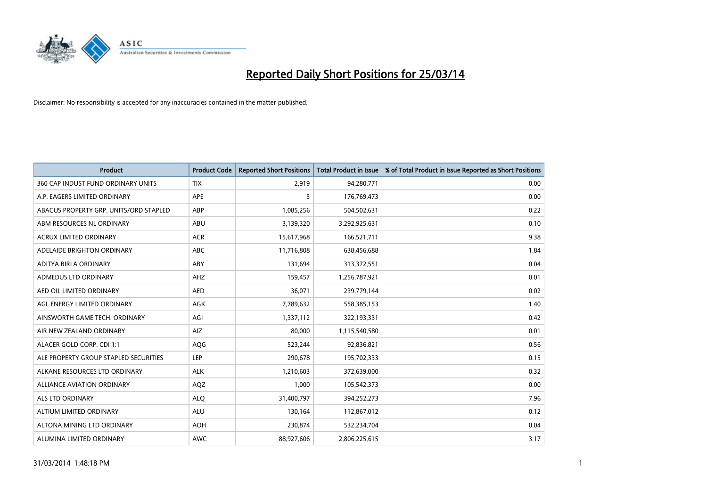

| <b>Product</b>                         | <b>Product Code</b> | <b>Reported Short Positions</b> | <b>Total Product in Issue</b> | % of Total Product in Issue Reported as Short Positions |
|----------------------------------------|---------------------|---------------------------------|-------------------------------|---------------------------------------------------------|
| 360 CAP INDUST FUND ORDINARY UNITS     | <b>TIX</b>          | 2,919                           | 94,280,771                    | 0.00                                                    |
| A.P. EAGERS LIMITED ORDINARY           | APE                 | 5                               | 176,769,473                   | 0.00                                                    |
| ABACUS PROPERTY GRP. UNITS/ORD STAPLED | ABP                 | 1,085,256                       | 504,502,631                   | 0.22                                                    |
| ABM RESOURCES NL ORDINARY              | ABU                 | 3,139,320                       | 3,292,925,631                 | 0.10                                                    |
| <b>ACRUX LIMITED ORDINARY</b>          | <b>ACR</b>          | 15,617,968                      | 166,521,711                   | 9.38                                                    |
| ADELAIDE BRIGHTON ORDINARY             | <b>ABC</b>          | 11,716,808                      | 638,456,688                   | 1.84                                                    |
| ADITYA BIRLA ORDINARY                  | ABY                 | 131,694                         | 313,372,551                   | 0.04                                                    |
| ADMEDUS LTD ORDINARY                   | AHZ                 | 159,457                         | 1,256,787,921                 | 0.01                                                    |
| AED OIL LIMITED ORDINARY               | <b>AED</b>          | 36,071                          | 239,779,144                   | 0.02                                                    |
| AGL ENERGY LIMITED ORDINARY            | <b>AGK</b>          | 7,789,632                       | 558,385,153                   | 1.40                                                    |
| AINSWORTH GAME TECH. ORDINARY          | AGI                 | 1,337,112                       | 322,193,331                   | 0.42                                                    |
| AIR NEW ZEALAND ORDINARY               | AIZ                 | 80,000                          | 1,115,540,580                 | 0.01                                                    |
| ALACER GOLD CORP. CDI 1:1              | AQG                 | 523,244                         | 92,836,821                    | 0.56                                                    |
| ALE PROPERTY GROUP STAPLED SECURITIES  | LEP                 | 290,678                         | 195,702,333                   | 0.15                                                    |
| ALKANE RESOURCES LTD ORDINARY          | <b>ALK</b>          | 1,210,603                       | 372,639,000                   | 0.32                                                    |
| ALLIANCE AVIATION ORDINARY             | AQZ                 | 1,000                           | 105,542,373                   | 0.00                                                    |
| ALS LTD ORDINARY                       | <b>ALQ</b>          | 31,400,797                      | 394,252,273                   | 7.96                                                    |
| ALTIUM LIMITED ORDINARY                | ALU                 | 130,164                         | 112,867,012                   | 0.12                                                    |
| ALTONA MINING LTD ORDINARY             | <b>AOH</b>          | 230,874                         | 532,234,704                   | 0.04                                                    |
| ALUMINA LIMITED ORDINARY               | <b>AWC</b>          | 88,927,606                      | 2,806,225,615                 | 3.17                                                    |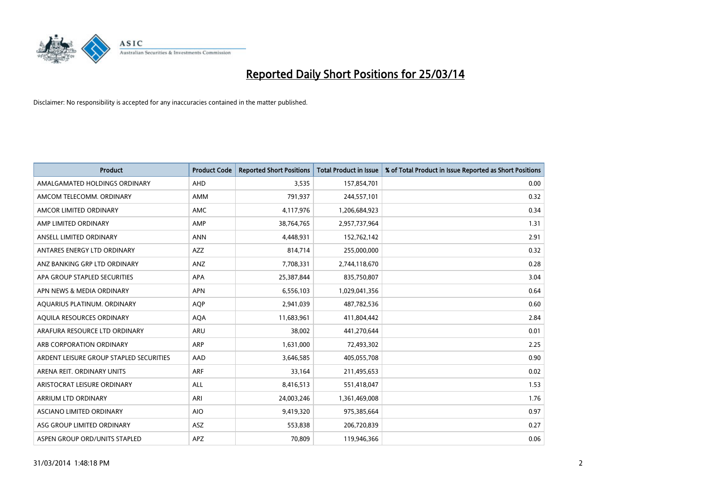

| <b>Product</b>                          | <b>Product Code</b> | <b>Reported Short Positions</b> | <b>Total Product in Issue</b> | % of Total Product in Issue Reported as Short Positions |
|-----------------------------------------|---------------------|---------------------------------|-------------------------------|---------------------------------------------------------|
| AMALGAMATED HOLDINGS ORDINARY           | AHD                 | 3,535                           | 157,854,701                   | 0.00                                                    |
| AMCOM TELECOMM. ORDINARY                | AMM                 | 791,937                         | 244,557,101                   | 0.32                                                    |
| AMCOR LIMITED ORDINARY                  | <b>AMC</b>          | 4,117,976                       | 1,206,684,923                 | 0.34                                                    |
| AMP LIMITED ORDINARY                    | AMP                 | 38,764,765                      | 2,957,737,964                 | 1.31                                                    |
| ANSELL LIMITED ORDINARY                 | <b>ANN</b>          | 4,448,931                       | 152,762,142                   | 2.91                                                    |
| ANTARES ENERGY LTD ORDINARY             | <b>AZZ</b>          | 814,714                         | 255,000,000                   | 0.32                                                    |
| ANZ BANKING GRP LTD ORDINARY            | ANZ                 | 7,708,331                       | 2,744,118,670                 | 0.28                                                    |
| APA GROUP STAPLED SECURITIES            | APA                 | 25,387,844                      | 835,750,807                   | 3.04                                                    |
| APN NEWS & MEDIA ORDINARY               | <b>APN</b>          | 6,556,103                       | 1,029,041,356                 | 0.64                                                    |
| AQUARIUS PLATINUM. ORDINARY             | <b>AOP</b>          | 2,941,039                       | 487,782,536                   | 0.60                                                    |
| AQUILA RESOURCES ORDINARY               | <b>AQA</b>          | 11,683,961                      | 411,804,442                   | 2.84                                                    |
| ARAFURA RESOURCE LTD ORDINARY           | <b>ARU</b>          | 38,002                          | 441,270,644                   | 0.01                                                    |
| ARB CORPORATION ORDINARY                | ARP                 | 1,631,000                       | 72,493,302                    | 2.25                                                    |
| ARDENT LEISURE GROUP STAPLED SECURITIES | AAD                 | 3,646,585                       | 405,055,708                   | 0.90                                                    |
| ARENA REIT. ORDINARY UNITS              | <b>ARF</b>          | 33,164                          | 211,495,653                   | 0.02                                                    |
| ARISTOCRAT LEISURE ORDINARY             | ALL                 | 8,416,513                       | 551,418,047                   | 1.53                                                    |
| ARRIUM LTD ORDINARY                     | ARI                 | 24,003,246                      | 1,361,469,008                 | 1.76                                                    |
| ASCIANO LIMITED ORDINARY                | <b>AIO</b>          | 9,419,320                       | 975,385,664                   | 0.97                                                    |
| ASG GROUP LIMITED ORDINARY              | ASZ                 | 553,838                         | 206,720,839                   | 0.27                                                    |
| ASPEN GROUP ORD/UNITS STAPLED           | <b>APZ</b>          | 70,809                          | 119,946,366                   | 0.06                                                    |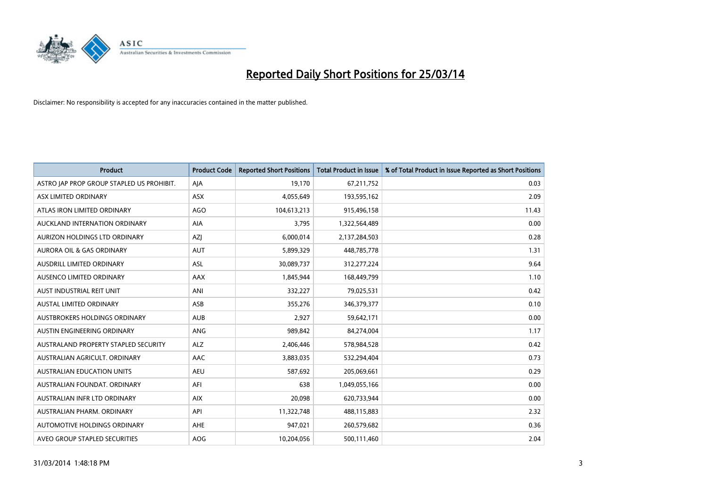

| <b>Product</b>                            | <b>Product Code</b> | <b>Reported Short Positions</b> | <b>Total Product in Issue</b> | % of Total Product in Issue Reported as Short Positions |
|-------------------------------------------|---------------------|---------------------------------|-------------------------------|---------------------------------------------------------|
| ASTRO JAP PROP GROUP STAPLED US PROHIBIT. | AJA                 | 19,170                          | 67,211,752                    | 0.03                                                    |
| ASX LIMITED ORDINARY                      | ASX                 | 4,055,649                       | 193,595,162                   | 2.09                                                    |
| ATLAS IRON LIMITED ORDINARY               | <b>AGO</b>          | 104,613,213                     | 915,496,158                   | 11.43                                                   |
| AUCKLAND INTERNATION ORDINARY             | <b>AIA</b>          | 3,795                           | 1,322,564,489                 | 0.00                                                    |
| AURIZON HOLDINGS LTD ORDINARY             | AZJ                 | 6,000,014                       | 2,137,284,503                 | 0.28                                                    |
| <b>AURORA OIL &amp; GAS ORDINARY</b>      | <b>AUT</b>          | 5,899,329                       | 448,785,778                   | 1.31                                                    |
| AUSDRILL LIMITED ORDINARY                 | ASL                 | 30,089,737                      | 312,277,224                   | 9.64                                                    |
| AUSENCO LIMITED ORDINARY                  | AAX                 | 1,845,944                       | 168,449,799                   | 1.10                                                    |
| AUST INDUSTRIAL REIT UNIT                 | ANI                 | 332,227                         | 79,025,531                    | 0.42                                                    |
| <b>AUSTAL LIMITED ORDINARY</b>            | ASB                 | 355,276                         | 346,379,377                   | 0.10                                                    |
| AUSTBROKERS HOLDINGS ORDINARY             | <b>AUB</b>          | 2,927                           | 59,642,171                    | 0.00                                                    |
| AUSTIN ENGINEERING ORDINARY               | ANG                 | 989,842                         | 84,274,004                    | 1.17                                                    |
| AUSTRALAND PROPERTY STAPLED SECURITY      | <b>ALZ</b>          | 2,406,446                       | 578,984,528                   | 0.42                                                    |
| AUSTRALIAN AGRICULT, ORDINARY             | AAC                 | 3,883,035                       | 532,294,404                   | 0.73                                                    |
| <b>AUSTRALIAN EDUCATION UNITS</b>         | <b>AEU</b>          | 587,692                         | 205,069,661                   | 0.29                                                    |
| AUSTRALIAN FOUNDAT. ORDINARY              | AFI                 | 638                             | 1,049,055,166                 | 0.00                                                    |
| AUSTRALIAN INFR LTD ORDINARY              | <b>AIX</b>          | 20,098                          | 620,733,944                   | 0.00                                                    |
| AUSTRALIAN PHARM, ORDINARY                | API                 | 11,322,748                      | 488,115,883                   | 2.32                                                    |
| AUTOMOTIVE HOLDINGS ORDINARY              | AHE                 | 947,021                         | 260,579,682                   | 0.36                                                    |
| AVEO GROUP STAPLED SECURITIES             | <b>AOG</b>          | 10,204,056                      | 500,111,460                   | 2.04                                                    |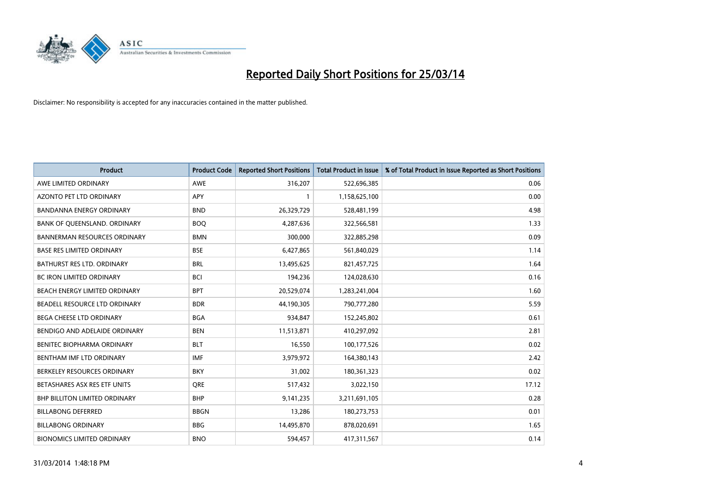

| <b>Product</b>                       | <b>Product Code</b> | <b>Reported Short Positions</b> | <b>Total Product in Issue</b> | % of Total Product in Issue Reported as Short Positions |
|--------------------------------------|---------------------|---------------------------------|-------------------------------|---------------------------------------------------------|
| AWE LIMITED ORDINARY                 | AWE                 | 316,207                         | 522,696,385                   | 0.06                                                    |
| AZONTO PET LTD ORDINARY              | APY                 | 1                               | 1,158,625,100                 | 0.00                                                    |
| <b>BANDANNA ENERGY ORDINARY</b>      | <b>BND</b>          | 26,329,729                      | 528,481,199                   | 4.98                                                    |
| BANK OF QUEENSLAND. ORDINARY         | <b>BOO</b>          | 4,287,636                       | 322,566,581                   | 1.33                                                    |
| <b>BANNERMAN RESOURCES ORDINARY</b>  | <b>BMN</b>          | 300,000                         | 322,885,298                   | 0.09                                                    |
| <b>BASE RES LIMITED ORDINARY</b>     | <b>BSE</b>          | 6,427,865                       | 561,840,029                   | 1.14                                                    |
| BATHURST RES LTD. ORDINARY           | <b>BRL</b>          | 13,495,625                      | 821,457,725                   | 1.64                                                    |
| <b>BC IRON LIMITED ORDINARY</b>      | <b>BCI</b>          | 194,236                         | 124,028,630                   | 0.16                                                    |
| BEACH ENERGY LIMITED ORDINARY        | <b>BPT</b>          | 20,529,074                      | 1,283,241,004                 | 1.60                                                    |
| BEADELL RESOURCE LTD ORDINARY        | <b>BDR</b>          | 44,190,305                      | 790,777,280                   | 5.59                                                    |
| BEGA CHEESE LTD ORDINARY             | <b>BGA</b>          | 934,847                         | 152,245,802                   | 0.61                                                    |
| BENDIGO AND ADELAIDE ORDINARY        | <b>BEN</b>          | 11,513,871                      | 410,297,092                   | 2.81                                                    |
| BENITEC BIOPHARMA ORDINARY           | <b>BLT</b>          | 16,550                          | 100,177,526                   | 0.02                                                    |
| BENTHAM IMF LTD ORDINARY             | <b>IMF</b>          | 3,979,972                       | 164,380,143                   | 2.42                                                    |
| BERKELEY RESOURCES ORDINARY          | <b>BKY</b>          | 31,002                          | 180,361,323                   | 0.02                                                    |
| BETASHARES ASX RES ETF UNITS         | <b>ORE</b>          | 517,432                         | 3,022,150                     | 17.12                                                   |
| <b>BHP BILLITON LIMITED ORDINARY</b> | <b>BHP</b>          | 9,141,235                       | 3,211,691,105                 | 0.28                                                    |
| <b>BILLABONG DEFERRED</b>            | <b>BBGN</b>         | 13,286                          | 180,273,753                   | 0.01                                                    |
| <b>BILLABONG ORDINARY</b>            | <b>BBG</b>          | 14,495,870                      | 878,020,691                   | 1.65                                                    |
| <b>BIONOMICS LIMITED ORDINARY</b>    | <b>BNO</b>          | 594,457                         | 417,311,567                   | 0.14                                                    |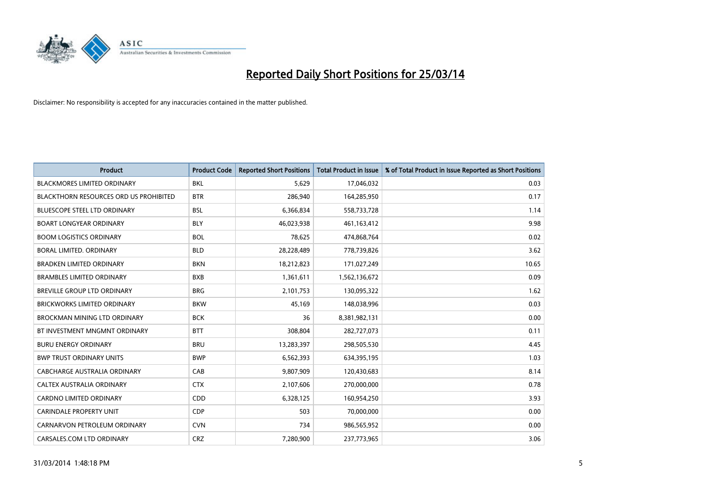

| <b>Product</b>                                | <b>Product Code</b> | <b>Reported Short Positions</b> | <b>Total Product in Issue</b> | % of Total Product in Issue Reported as Short Positions |
|-----------------------------------------------|---------------------|---------------------------------|-------------------------------|---------------------------------------------------------|
| <b>BLACKMORES LIMITED ORDINARY</b>            | <b>BKL</b>          | 5,629                           | 17,046,032                    | 0.03                                                    |
| <b>BLACKTHORN RESOURCES ORD US PROHIBITED</b> | <b>BTR</b>          | 286,940                         | 164,285,950                   | 0.17                                                    |
| <b>BLUESCOPE STEEL LTD ORDINARY</b>           | <b>BSL</b>          | 6,366,834                       | 558,733,728                   | 1.14                                                    |
| <b>BOART LONGYEAR ORDINARY</b>                | <b>BLY</b>          | 46,023,938                      | 461,163,412                   | 9.98                                                    |
| <b>BOOM LOGISTICS ORDINARY</b>                | <b>BOL</b>          | 78,625                          | 474,868,764                   | 0.02                                                    |
| <b>BORAL LIMITED, ORDINARY</b>                | <b>BLD</b>          | 28,228,489                      | 778,739,826                   | 3.62                                                    |
| <b>BRADKEN LIMITED ORDINARY</b>               | <b>BKN</b>          | 18,212,823                      | 171,027,249                   | 10.65                                                   |
| <b>BRAMBLES LIMITED ORDINARY</b>              | <b>BXB</b>          | 1,361,611                       | 1,562,136,672                 | 0.09                                                    |
| BREVILLE GROUP LTD ORDINARY                   | <b>BRG</b>          | 2,101,753                       | 130,095,322                   | 1.62                                                    |
| <b>BRICKWORKS LIMITED ORDINARY</b>            | <b>BKW</b>          | 45,169                          | 148,038,996                   | 0.03                                                    |
| <b>BROCKMAN MINING LTD ORDINARY</b>           | <b>BCK</b>          | 36                              | 8,381,982,131                 | 0.00                                                    |
| BT INVESTMENT MNGMNT ORDINARY                 | <b>BTT</b>          | 308,804                         | 282,727,073                   | 0.11                                                    |
| <b>BURU ENERGY ORDINARY</b>                   | <b>BRU</b>          | 13,283,397                      | 298,505,530                   | 4.45                                                    |
| <b>BWP TRUST ORDINARY UNITS</b>               | <b>BWP</b>          | 6,562,393                       | 634,395,195                   | 1.03                                                    |
| CABCHARGE AUSTRALIA ORDINARY                  | CAB                 | 9,807,909                       | 120,430,683                   | 8.14                                                    |
| CALTEX AUSTRALIA ORDINARY                     | <b>CTX</b>          | 2,107,606                       | 270,000,000                   | 0.78                                                    |
| CARDNO LIMITED ORDINARY                       | CDD                 | 6,328,125                       | 160,954,250                   | 3.93                                                    |
| CARINDALE PROPERTY UNIT                       | <b>CDP</b>          | 503                             | 70,000,000                    | 0.00                                                    |
| CARNARVON PETROLEUM ORDINARY                  | <b>CVN</b>          | 734                             | 986,565,952                   | 0.00                                                    |
| CARSALES.COM LTD ORDINARY                     | <b>CRZ</b>          | 7,280,900                       | 237,773,965                   | 3.06                                                    |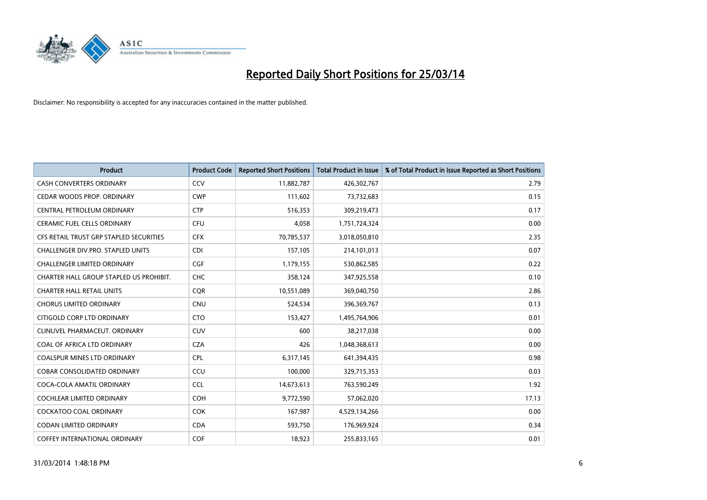

| <b>Product</b>                          | <b>Product Code</b> | <b>Reported Short Positions</b> | <b>Total Product in Issue</b> | % of Total Product in Issue Reported as Short Positions |
|-----------------------------------------|---------------------|---------------------------------|-------------------------------|---------------------------------------------------------|
| <b>CASH CONVERTERS ORDINARY</b>         | CCV                 | 11,882,787                      | 426,302,767                   | 2.79                                                    |
| CEDAR WOODS PROP. ORDINARY              | <b>CWP</b>          | 111,602                         | 73,732,683                    | 0.15                                                    |
| CENTRAL PETROLEUM ORDINARY              | <b>CTP</b>          | 516,353                         | 309,219,473                   | 0.17                                                    |
| <b>CERAMIC FUEL CELLS ORDINARY</b>      | <b>CFU</b>          | 4,058                           | 1,751,724,324                 | 0.00                                                    |
| CFS RETAIL TRUST GRP STAPLED SECURITIES | <b>CFX</b>          | 70,785,537                      | 3,018,050,810                 | 2.35                                                    |
| CHALLENGER DIV.PRO. STAPLED UNITS       | <b>CDI</b>          | 157,105                         | 214,101,013                   | 0.07                                                    |
| CHALLENGER LIMITED ORDINARY             | <b>CGF</b>          | 1,179,155                       | 530,862,585                   | 0.22                                                    |
| CHARTER HALL GROUP STAPLED US PROHIBIT. | <b>CHC</b>          | 358,124                         | 347,925,558                   | 0.10                                                    |
| <b>CHARTER HALL RETAIL UNITS</b>        | <b>CQR</b>          | 10,551,089                      | 369,040,750                   | 2.86                                                    |
| <b>CHORUS LIMITED ORDINARY</b>          | <b>CNU</b>          | 524,534                         | 396,369,767                   | 0.13                                                    |
| CITIGOLD CORP LTD ORDINARY              | <b>CTO</b>          | 153,427                         | 1,495,764,906                 | 0.01                                                    |
| CLINUVEL PHARMACEUT. ORDINARY           | <b>CUV</b>          | 600                             | 38,217,038                    | 0.00                                                    |
| COAL OF AFRICA LTD ORDINARY             | <b>CZA</b>          | 426                             | 1,048,368,613                 | 0.00                                                    |
| <b>COALSPUR MINES LTD ORDINARY</b>      | <b>CPL</b>          | 6,317,145                       | 641,394,435                   | 0.98                                                    |
| <b>COBAR CONSOLIDATED ORDINARY</b>      | CCU                 | 100,000                         | 329,715,353                   | 0.03                                                    |
| COCA-COLA AMATIL ORDINARY               | <b>CCL</b>          | 14,673,613                      | 763,590,249                   | 1.92                                                    |
| COCHLEAR LIMITED ORDINARY               | <b>COH</b>          | 9,772,590                       | 57,062,020                    | 17.13                                                   |
| <b>COCKATOO COAL ORDINARY</b>           | <b>COK</b>          | 167,987                         | 4,529,134,266                 | 0.00                                                    |
| <b>CODAN LIMITED ORDINARY</b>           | <b>CDA</b>          | 593,750                         | 176,969,924                   | 0.34                                                    |
| COFFEY INTERNATIONAL ORDINARY           | <b>COF</b>          | 18,923                          | 255,833,165                   | 0.01                                                    |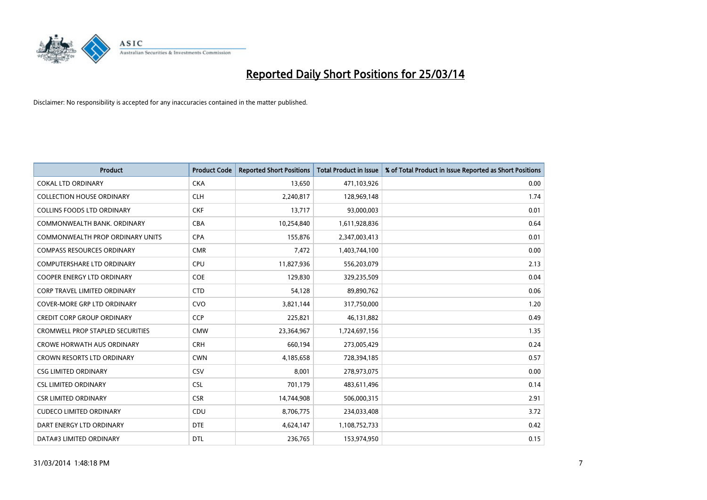

| Product                                 | <b>Product Code</b> | <b>Reported Short Positions</b> | <b>Total Product in Issue</b> | % of Total Product in Issue Reported as Short Positions |
|-----------------------------------------|---------------------|---------------------------------|-------------------------------|---------------------------------------------------------|
| <b>COKAL LTD ORDINARY</b>               | <b>CKA</b>          | 13,650                          | 471,103,926                   | 0.00                                                    |
| <b>COLLECTION HOUSE ORDINARY</b>        | <b>CLH</b>          | 2,240,817                       | 128,969,148                   | 1.74                                                    |
| <b>COLLINS FOODS LTD ORDINARY</b>       | <b>CKF</b>          | 13,717                          | 93,000,003                    | 0.01                                                    |
| COMMONWEALTH BANK, ORDINARY             | <b>CBA</b>          | 10,254,840                      | 1,611,928,836                 | 0.64                                                    |
| <b>COMMONWEALTH PROP ORDINARY UNITS</b> | <b>CPA</b>          | 155,876                         | 2,347,003,413                 | 0.01                                                    |
| <b>COMPASS RESOURCES ORDINARY</b>       | <b>CMR</b>          | 7,472                           | 1,403,744,100                 | 0.00                                                    |
| <b>COMPUTERSHARE LTD ORDINARY</b>       | <b>CPU</b>          | 11,827,936                      | 556,203,079                   | 2.13                                                    |
| <b>COOPER ENERGY LTD ORDINARY</b>       | <b>COE</b>          | 129,830                         | 329,235,509                   | 0.04                                                    |
| CORP TRAVEL LIMITED ORDINARY            | <b>CTD</b>          | 54,128                          | 89,890,762                    | 0.06                                                    |
| <b>COVER-MORE GRP LTD ORDINARY</b>      | <b>CVO</b>          | 3,821,144                       | 317,750,000                   | 1.20                                                    |
| <b>CREDIT CORP GROUP ORDINARY</b>       | <b>CCP</b>          | 225,821                         | 46,131,882                    | 0.49                                                    |
| <b>CROMWELL PROP STAPLED SECURITIES</b> | <b>CMW</b>          | 23,364,967                      | 1,724,697,156                 | 1.35                                                    |
| <b>CROWE HORWATH AUS ORDINARY</b>       | <b>CRH</b>          | 660,194                         | 273,005,429                   | 0.24                                                    |
| <b>CROWN RESORTS LTD ORDINARY</b>       | <b>CWN</b>          | 4,185,658                       | 728,394,185                   | 0.57                                                    |
| <b>CSG LIMITED ORDINARY</b>             | CSV                 | 8,001                           | 278,973,075                   | 0.00                                                    |
| <b>CSL LIMITED ORDINARY</b>             | <b>CSL</b>          | 701,179                         | 483,611,496                   | 0.14                                                    |
| <b>CSR LIMITED ORDINARY</b>             | <b>CSR</b>          | 14,744,908                      | 506,000,315                   | 2.91                                                    |
| <b>CUDECO LIMITED ORDINARY</b>          | <b>CDU</b>          | 8,706,775                       | 234,033,408                   | 3.72                                                    |
| DART ENERGY LTD ORDINARY                | <b>DTE</b>          | 4,624,147                       | 1,108,752,733                 | 0.42                                                    |
| DATA#3 LIMITED ORDINARY                 | <b>DTL</b>          | 236,765                         | 153,974,950                   | 0.15                                                    |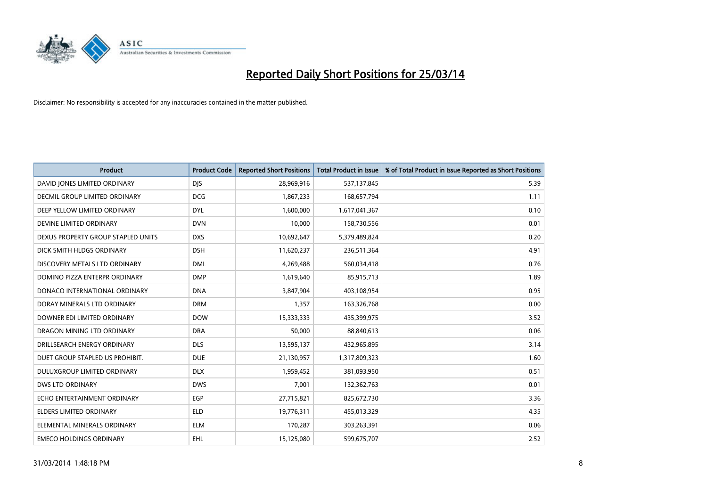

| <b>Product</b>                     | <b>Product Code</b> | <b>Reported Short Positions</b> | <b>Total Product in Issue</b> | % of Total Product in Issue Reported as Short Positions |
|------------------------------------|---------------------|---------------------------------|-------------------------------|---------------------------------------------------------|
| DAVID JONES LIMITED ORDINARY       | <b>DJS</b>          | 28,969,916                      | 537,137,845                   | 5.39                                                    |
| DECMIL GROUP LIMITED ORDINARY      | <b>DCG</b>          | 1,867,233                       | 168,657,794                   | 1.11                                                    |
| DEEP YELLOW LIMITED ORDINARY       | <b>DYL</b>          | 1,600,000                       | 1,617,041,367                 | 0.10                                                    |
| DEVINE LIMITED ORDINARY            | <b>DVN</b>          | 10,000                          | 158,730,556                   | 0.01                                                    |
| DEXUS PROPERTY GROUP STAPLED UNITS | <b>DXS</b>          | 10,692,647                      | 5,379,489,824                 | 0.20                                                    |
| DICK SMITH HLDGS ORDINARY          | <b>DSH</b>          | 11,620,237                      | 236,511,364                   | 4.91                                                    |
| DISCOVERY METALS LTD ORDINARY      | <b>DML</b>          | 4,269,488                       | 560,034,418                   | 0.76                                                    |
| DOMINO PIZZA ENTERPR ORDINARY      | <b>DMP</b>          | 1,619,640                       | 85,915,713                    | 1.89                                                    |
| DONACO INTERNATIONAL ORDINARY      | <b>DNA</b>          | 3,847,904                       | 403,108,954                   | 0.95                                                    |
| DORAY MINERALS LTD ORDINARY        | <b>DRM</b>          | 1,357                           | 163,326,768                   | 0.00                                                    |
| DOWNER EDI LIMITED ORDINARY        | <b>DOW</b>          | 15,333,333                      | 435,399,975                   | 3.52                                                    |
| DRAGON MINING LTD ORDINARY         | <b>DRA</b>          | 50,000                          | 88,840,613                    | 0.06                                                    |
| DRILLSEARCH ENERGY ORDINARY        | <b>DLS</b>          | 13,595,137                      | 432,965,895                   | 3.14                                                    |
| DUET GROUP STAPLED US PROHIBIT.    | <b>DUE</b>          | 21,130,957                      | 1,317,809,323                 | 1.60                                                    |
| DULUXGROUP LIMITED ORDINARY        | <b>DLX</b>          | 1,959,452                       | 381,093,950                   | 0.51                                                    |
| DWS LTD ORDINARY                   | <b>DWS</b>          | 7,001                           | 132,362,763                   | 0.01                                                    |
| ECHO ENTERTAINMENT ORDINARY        | EGP                 | 27,715,821                      | 825,672,730                   | 3.36                                                    |
| ELDERS LIMITED ORDINARY            | <b>ELD</b>          | 19,776,311                      | 455,013,329                   | 4.35                                                    |
| ELEMENTAL MINERALS ORDINARY        | <b>ELM</b>          | 170,287                         | 303,263,391                   | 0.06                                                    |
| <b>EMECO HOLDINGS ORDINARY</b>     | EHL                 | 15,125,080                      | 599,675,707                   | 2.52                                                    |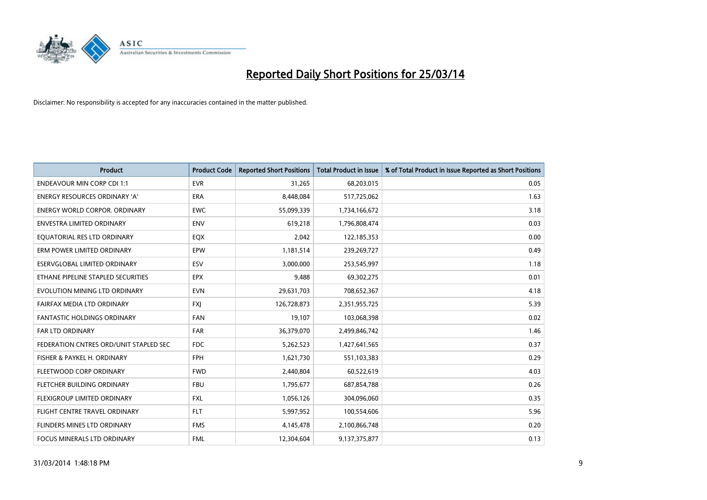

| <b>Product</b>                         | <b>Product Code</b> | <b>Reported Short Positions</b> | <b>Total Product in Issue</b> | % of Total Product in Issue Reported as Short Positions |
|----------------------------------------|---------------------|---------------------------------|-------------------------------|---------------------------------------------------------|
| <b>ENDEAVOUR MIN CORP CDI 1:1</b>      | <b>EVR</b>          | 31,265                          | 68,203,015                    | 0.05                                                    |
| ENERGY RESOURCES ORDINARY 'A'          | ERA                 | 8,448,084                       | 517,725,062                   | 1.63                                                    |
| <b>ENERGY WORLD CORPOR, ORDINARY</b>   | <b>EWC</b>          | 55,099,339                      | 1,734,166,672                 | 3.18                                                    |
| ENVESTRA LIMITED ORDINARY              | <b>ENV</b>          | 619,218                         | 1,796,808,474                 | 0.03                                                    |
| EQUATORIAL RES LTD ORDINARY            | EQX                 | 2,042                           | 122,185,353                   | 0.00                                                    |
| ERM POWER LIMITED ORDINARY             | EPW                 | 1,181,514                       | 239,269,727                   | 0.49                                                    |
| ESERVGLOBAL LIMITED ORDINARY           | ESV                 | 3,000,000                       | 253,545,997                   | 1.18                                                    |
| ETHANE PIPELINE STAPLED SECURITIES     | <b>EPX</b>          | 9,488                           | 69,302,275                    | 0.01                                                    |
| EVOLUTION MINING LTD ORDINARY          | <b>EVN</b>          | 29,631,703                      | 708,652,367                   | 4.18                                                    |
| FAIRFAX MEDIA LTD ORDINARY             | <b>FXI</b>          | 126,728,873                     | 2,351,955,725                 | 5.39                                                    |
| FANTASTIC HOLDINGS ORDINARY            | <b>FAN</b>          | 19,107                          | 103,068,398                   | 0.02                                                    |
| <b>FAR LTD ORDINARY</b>                | <b>FAR</b>          | 36,379,070                      | 2,499,846,742                 | 1.46                                                    |
| FEDERATION CNTRES ORD/UNIT STAPLED SEC | <b>FDC</b>          | 5,262,523                       | 1,427,641,565                 | 0.37                                                    |
| FISHER & PAYKEL H. ORDINARY            | <b>FPH</b>          | 1,621,730                       | 551,103,383                   | 0.29                                                    |
| FLEETWOOD CORP ORDINARY                | <b>FWD</b>          | 2,440,804                       | 60,522,619                    | 4.03                                                    |
| FLETCHER BUILDING ORDINARY             | <b>FBU</b>          | 1,795,677                       | 687,854,788                   | 0.26                                                    |
| FLEXIGROUP LIMITED ORDINARY            | FXL                 | 1,056,126                       | 304,096,060                   | 0.35                                                    |
| FLIGHT CENTRE TRAVEL ORDINARY          | <b>FLT</b>          | 5,997,952                       | 100,554,606                   | 5.96                                                    |
| FLINDERS MINES LTD ORDINARY            | <b>FMS</b>          | 4,145,478                       | 2,100,866,748                 | 0.20                                                    |
| FOCUS MINERALS LTD ORDINARY            | <b>FML</b>          | 12,304,604                      | 9,137,375,877                 | 0.13                                                    |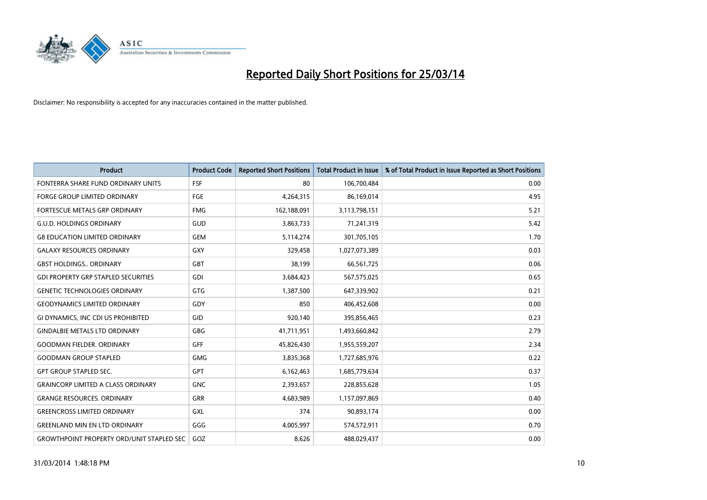

| <b>Product</b>                                   | <b>Product Code</b> | <b>Reported Short Positions</b> | <b>Total Product in Issue</b> | % of Total Product in Issue Reported as Short Positions |
|--------------------------------------------------|---------------------|---------------------------------|-------------------------------|---------------------------------------------------------|
| FONTERRA SHARE FUND ORDINARY UNITS               | <b>FSF</b>          | 80                              | 106,700,484                   | 0.00                                                    |
| FORGE GROUP LIMITED ORDINARY                     | FGE                 | 4,264,315                       | 86,169,014                    | 4.95                                                    |
| <b>FORTESCUE METALS GRP ORDINARY</b>             | <b>FMG</b>          | 162,188,091                     | 3,113,798,151                 | 5.21                                                    |
| <b>G.U.D. HOLDINGS ORDINARY</b>                  | GUD                 | 3,863,733                       | 71,241,319                    | 5.42                                                    |
| <b>G8 EDUCATION LIMITED ORDINARY</b>             | <b>GEM</b>          | 5,114,274                       | 301,705,105                   | 1.70                                                    |
| <b>GALAXY RESOURCES ORDINARY</b>                 | <b>GXY</b>          | 329,458                         | 1,027,073,389                 | 0.03                                                    |
| <b>GBST HOLDINGS ORDINARY</b>                    | <b>GBT</b>          | 38,199                          | 66,561,725                    | 0.06                                                    |
| <b>GDI PROPERTY GRP STAPLED SECURITIES</b>       | GDI                 | 3,684,423                       | 567,575,025                   | 0.65                                                    |
| <b>GENETIC TECHNOLOGIES ORDINARY</b>             | <b>GTG</b>          | 1,387,500                       | 647,339,902                   | 0.21                                                    |
| <b>GEODYNAMICS LIMITED ORDINARY</b>              | GDY                 | 850                             | 406,452,608                   | 0.00                                                    |
| GI DYNAMICS, INC CDI US PROHIBITED               | GID                 | 920,140                         | 395,856,465                   | 0.23                                                    |
| <b>GINDALBIE METALS LTD ORDINARY</b>             | <b>GBG</b>          | 41,711,951                      | 1,493,660,842                 | 2.79                                                    |
| <b>GOODMAN FIELDER. ORDINARY</b>                 | GFF                 | 45,826,430                      | 1,955,559,207                 | 2.34                                                    |
| <b>GOODMAN GROUP STAPLED</b>                     | <b>GMG</b>          | 3,835,368                       | 1,727,685,976                 | 0.22                                                    |
| <b>GPT GROUP STAPLED SEC.</b>                    | <b>GPT</b>          | 6,162,463                       | 1,685,779,634                 | 0.37                                                    |
| <b>GRAINCORP LIMITED A CLASS ORDINARY</b>        | <b>GNC</b>          | 2,393,657                       | 228,855,628                   | 1.05                                                    |
| <b>GRANGE RESOURCES. ORDINARY</b>                | GRR                 | 4,683,989                       | 1,157,097,869                 | 0.40                                                    |
| <b>GREENCROSS LIMITED ORDINARY</b>               | <b>GXL</b>          | 374                             | 90,893,174                    | 0.00                                                    |
| <b>GREENLAND MIN EN LTD ORDINARY</b>             | GGG                 | 4,005,997                       | 574,572,911                   | 0.70                                                    |
| <b>GROWTHPOINT PROPERTY ORD/UNIT STAPLED SEC</b> | GOZ                 | 8,626                           | 488,029,437                   | 0.00                                                    |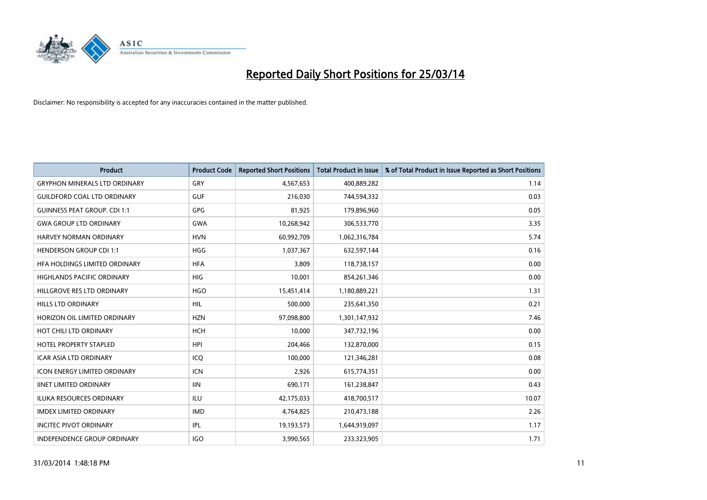

| <b>Product</b>                       | <b>Product Code</b> | <b>Reported Short Positions</b> | <b>Total Product in Issue</b> | % of Total Product in Issue Reported as Short Positions |
|--------------------------------------|---------------------|---------------------------------|-------------------------------|---------------------------------------------------------|
| <b>GRYPHON MINERALS LTD ORDINARY</b> | GRY                 | 4,567,653                       | 400,889,282                   | 1.14                                                    |
| <b>GUILDFORD COAL LTD ORDINARY</b>   | <b>GUF</b>          | 216,030                         | 744,594,332                   | 0.03                                                    |
| <b>GUINNESS PEAT GROUP. CDI 1:1</b>  | <b>GPG</b>          | 81,925                          | 179,896,960                   | 0.05                                                    |
| <b>GWA GROUP LTD ORDINARY</b>        | <b>GWA</b>          | 10,268,942                      | 306,533,770                   | 3.35                                                    |
| HARVEY NORMAN ORDINARY               | <b>HVN</b>          | 60,992,709                      | 1,062,316,784                 | 5.74                                                    |
| <b>HENDERSON GROUP CDI 1:1</b>       | <b>HGG</b>          | 1,037,367                       | 632,597,144                   | 0.16                                                    |
| HFA HOLDINGS LIMITED ORDINARY        | <b>HFA</b>          | 3.809                           | 118,738,157                   | 0.00                                                    |
| <b>HIGHLANDS PACIFIC ORDINARY</b>    | <b>HIG</b>          | 10,001                          | 854,261,346                   | 0.00                                                    |
| HILLGROVE RES LTD ORDINARY           | <b>HGO</b>          | 15,451,414                      | 1,180,889,221                 | 1.31                                                    |
| <b>HILLS LTD ORDINARY</b>            | <b>HIL</b>          | 500,000                         | 235,641,350                   | 0.21                                                    |
| HORIZON OIL LIMITED ORDINARY         | <b>HZN</b>          | 97,098,800                      | 1,301,147,932                 | 7.46                                                    |
| HOT CHILI LTD ORDINARY               | <b>HCH</b>          | 10,000                          | 347,732,196                   | 0.00                                                    |
| <b>HOTEL PROPERTY STAPLED</b>        | <b>HPI</b>          | 204,466                         | 132,870,000                   | 0.15                                                    |
| <b>ICAR ASIA LTD ORDINARY</b>        | ICQ                 | 100,000                         | 121,346,281                   | 0.08                                                    |
| <b>ICON ENERGY LIMITED ORDINARY</b>  | ICN                 | 2,926                           | 615,774,351                   | 0.00                                                    |
| <b>IINET LIMITED ORDINARY</b>        | <b>IIN</b>          | 690,171                         | 161,238,847                   | 0.43                                                    |
| <b>ILUKA RESOURCES ORDINARY</b>      | ILU                 | 42,175,033                      | 418,700,517                   | 10.07                                                   |
| <b>IMDEX LIMITED ORDINARY</b>        | <b>IMD</b>          | 4,764,825                       | 210,473,188                   | 2.26                                                    |
| <b>INCITEC PIVOT ORDINARY</b>        | IPL                 | 19,193,573                      | 1,644,919,097                 | 1.17                                                    |
| INDEPENDENCE GROUP ORDINARY          | <b>IGO</b>          | 3,990,565                       | 233,323,905                   | 1.71                                                    |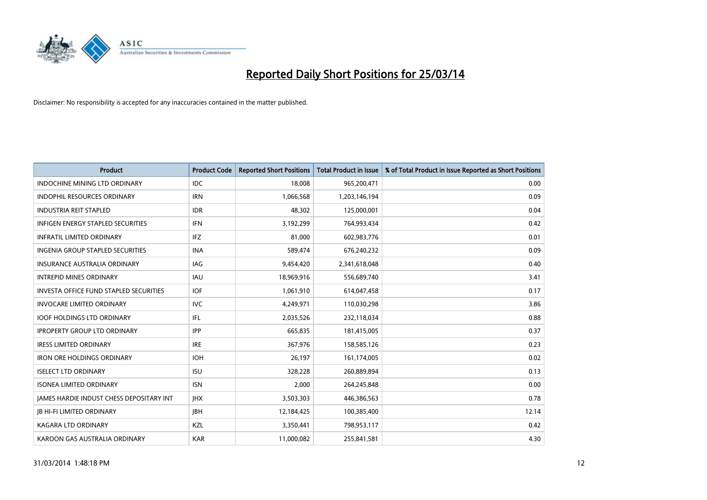

| <b>Product</b>                                  | <b>Product Code</b> | <b>Reported Short Positions</b> | <b>Total Product in Issue</b> | % of Total Product in Issue Reported as Short Positions |
|-------------------------------------------------|---------------------|---------------------------------|-------------------------------|---------------------------------------------------------|
| <b>INDOCHINE MINING LTD ORDINARY</b>            | <b>IDC</b>          | 18,008                          | 965,200,471                   | 0.00                                                    |
| INDOPHIL RESOURCES ORDINARY                     | <b>IRN</b>          | 1,066,568                       | 1,203,146,194                 | 0.09                                                    |
| <b>INDUSTRIA REIT STAPLED</b>                   | <b>IDR</b>          | 48,302                          | 125,000,001                   | 0.04                                                    |
| INFIGEN ENERGY STAPLED SECURITIES               | <b>IFN</b>          | 3,192,299                       | 764,993,434                   | 0.42                                                    |
| <b>INFRATIL LIMITED ORDINARY</b>                | <b>IFZ</b>          | 81,000                          | 602,983,776                   | 0.01                                                    |
| INGENIA GROUP STAPLED SECURITIES                | <b>INA</b>          | 589,474                         | 676,240,232                   | 0.09                                                    |
| <b>INSURANCE AUSTRALIA ORDINARY</b>             | IAG                 | 9,454,420                       | 2,341,618,048                 | 0.40                                                    |
| <b>INTREPID MINES ORDINARY</b>                  | IAU                 | 18,969,916                      | 556,689,740                   | 3.41                                                    |
| INVESTA OFFICE FUND STAPLED SECURITIES          | <b>IOF</b>          | 1,061,910                       | 614,047,458                   | 0.17                                                    |
| <b>INVOCARE LIMITED ORDINARY</b>                | <b>IVC</b>          | 4,249,971                       | 110,030,298                   | 3.86                                                    |
| <b>IOOF HOLDINGS LTD ORDINARY</b>               | IFL                 | 2,035,526                       | 232,118,034                   | 0.88                                                    |
| <b>IPROPERTY GROUP LTD ORDINARY</b>             | <b>IPP</b>          | 665,835                         | 181,415,005                   | 0.37                                                    |
| <b>IRESS LIMITED ORDINARY</b>                   | <b>IRE</b>          | 367,976                         | 158,585,126                   | 0.23                                                    |
| <b>IRON ORE HOLDINGS ORDINARY</b>               | <b>IOH</b>          | 26,197                          | 161,174,005                   | 0.02                                                    |
| <b>ISELECT LTD ORDINARY</b>                     | <b>ISU</b>          | 328,228                         | 260,889,894                   | 0.13                                                    |
| <b>ISONEA LIMITED ORDINARY</b>                  | <b>ISN</b>          | 2,000                           | 264,245,848                   | 0.00                                                    |
| <b>JAMES HARDIE INDUST CHESS DEPOSITARY INT</b> | <b>IHX</b>          | 3,503,303                       | 446,386,563                   | 0.78                                                    |
| <b>JB HI-FI LIMITED ORDINARY</b>                | JBH                 | 12,184,425                      | 100,385,400                   | 12.14                                                   |
| KAGARA LTD ORDINARY                             | KZL                 | 3,350,441                       | 798,953,117                   | 0.42                                                    |
| KAROON GAS AUSTRALIA ORDINARY                   | <b>KAR</b>          | 11,000,082                      | 255,841,581                   | 4.30                                                    |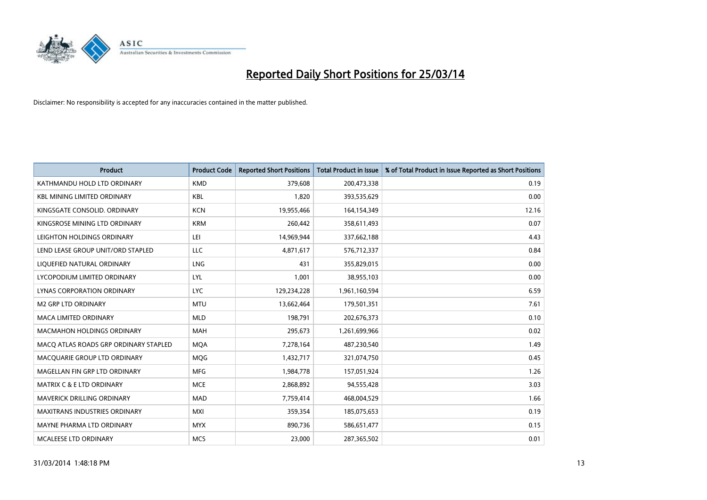

| <b>Product</b>                        | <b>Product Code</b> | <b>Reported Short Positions</b> | <b>Total Product in Issue</b> | % of Total Product in Issue Reported as Short Positions |
|---------------------------------------|---------------------|---------------------------------|-------------------------------|---------------------------------------------------------|
| KATHMANDU HOLD LTD ORDINARY           | <b>KMD</b>          | 379,608                         | 200,473,338                   | 0.19                                                    |
| <b>KBL MINING LIMITED ORDINARY</b>    | <b>KBL</b>          | 1,820                           | 393,535,629                   | 0.00                                                    |
| KINGSGATE CONSOLID. ORDINARY          | <b>KCN</b>          | 19,955,466                      | 164,154,349                   | 12.16                                                   |
| KINGSROSE MINING LTD ORDINARY         | <b>KRM</b>          | 260,442                         | 358,611,493                   | 0.07                                                    |
| LEIGHTON HOLDINGS ORDINARY            | LEI                 | 14,969,944                      | 337,662,188                   | 4.43                                                    |
| LEND LEASE GROUP UNIT/ORD STAPLED     | <b>LLC</b>          | 4,871,617                       | 576,712,337                   | 0.84                                                    |
| LIQUEFIED NATURAL ORDINARY            | LNG                 | 431                             | 355,829,015                   | 0.00                                                    |
| LYCOPODIUM LIMITED ORDINARY           | <b>LYL</b>          | 1,001                           | 38,955,103                    | 0.00                                                    |
| LYNAS CORPORATION ORDINARY            | <b>LYC</b>          | 129,234,228                     | 1,961,160,594                 | 6.59                                                    |
| <b>M2 GRP LTD ORDINARY</b>            | <b>MTU</b>          | 13,662,464                      | 179,501,351                   | 7.61                                                    |
| MACA LIMITED ORDINARY                 | <b>MLD</b>          | 198,791                         | 202,676,373                   | 0.10                                                    |
| <b>MACMAHON HOLDINGS ORDINARY</b>     | MAH                 | 295,673                         | 1,261,699,966                 | 0.02                                                    |
| MACO ATLAS ROADS GRP ORDINARY STAPLED | <b>MOA</b>          | 7,278,164                       | 487,230,540                   | 1.49                                                    |
| MACQUARIE GROUP LTD ORDINARY          | <b>MQG</b>          | 1,432,717                       | 321,074,750                   | 0.45                                                    |
| MAGELLAN FIN GRP LTD ORDINARY         | <b>MFG</b>          | 1,984,778                       | 157,051,924                   | 1.26                                                    |
| <b>MATRIX C &amp; E LTD ORDINARY</b>  | <b>MCE</b>          | 2,868,892                       | 94,555,428                    | 3.03                                                    |
| MAVERICK DRILLING ORDINARY            | <b>MAD</b>          | 7,759,414                       | 468,004,529                   | 1.66                                                    |
| <b>MAXITRANS INDUSTRIES ORDINARY</b>  | <b>MXI</b>          | 359,354                         | 185,075,653                   | 0.19                                                    |
| MAYNE PHARMA LTD ORDINARY             | <b>MYX</b>          | 890,736                         | 586,651,477                   | 0.15                                                    |
| <b>MCALEESE LTD ORDINARY</b>          | <b>MCS</b>          | 23,000                          | 287,365,502                   | 0.01                                                    |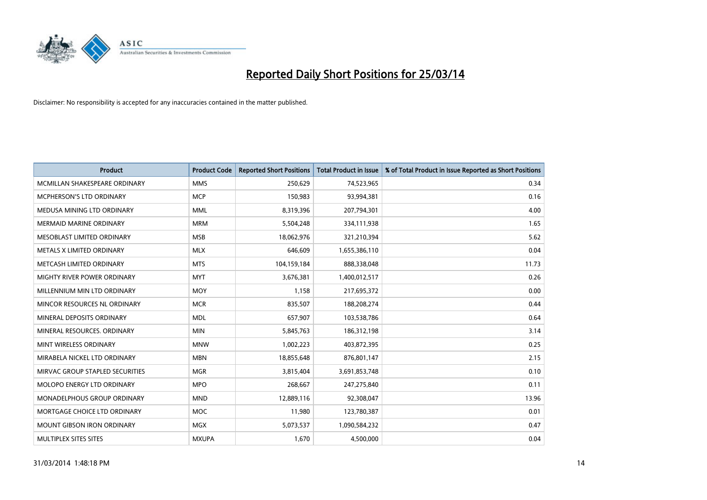

| <b>Product</b>                    | <b>Product Code</b> | <b>Reported Short Positions</b> | <b>Total Product in Issue</b> | % of Total Product in Issue Reported as Short Positions |
|-----------------------------------|---------------------|---------------------------------|-------------------------------|---------------------------------------------------------|
| MCMILLAN SHAKESPEARE ORDINARY     | <b>MMS</b>          | 250,629                         | 74,523,965                    | 0.34                                                    |
| MCPHERSON'S LTD ORDINARY          | <b>MCP</b>          | 150,983                         | 93,994,381                    | 0.16                                                    |
| MEDUSA MINING LTD ORDINARY        | <b>MML</b>          | 8,319,396                       | 207,794,301                   | 4.00                                                    |
| <b>MERMAID MARINE ORDINARY</b>    | <b>MRM</b>          | 5,504,248                       | 334,111,938                   | 1.65                                                    |
| MESOBLAST LIMITED ORDINARY        | <b>MSB</b>          | 18,062,976                      | 321,210,394                   | 5.62                                                    |
| METALS X LIMITED ORDINARY         | <b>MLX</b>          | 646,609                         | 1,655,386,110                 | 0.04                                                    |
| METCASH LIMITED ORDINARY          | <b>MTS</b>          | 104,159,184                     | 888,338,048                   | 11.73                                                   |
| MIGHTY RIVER POWER ORDINARY       | <b>MYT</b>          | 3,676,381                       | 1,400,012,517                 | 0.26                                                    |
| MILLENNIUM MIN LTD ORDINARY       | <b>MOY</b>          | 1,158                           | 217,695,372                   | 0.00                                                    |
| MINCOR RESOURCES NL ORDINARY      | <b>MCR</b>          | 835,507                         | 188,208,274                   | 0.44                                                    |
| MINERAL DEPOSITS ORDINARY         | <b>MDL</b>          | 657,907                         | 103,538,786                   | 0.64                                                    |
| MINERAL RESOURCES, ORDINARY       | <b>MIN</b>          | 5,845,763                       | 186,312,198                   | 3.14                                                    |
| MINT WIRELESS ORDINARY            | <b>MNW</b>          | 1,002,223                       | 403,872,395                   | 0.25                                                    |
| MIRABELA NICKEL LTD ORDINARY      | <b>MBN</b>          | 18,855,648                      | 876,801,147                   | 2.15                                                    |
| MIRVAC GROUP STAPLED SECURITIES   | <b>MGR</b>          | 3,815,404                       | 3,691,853,748                 | 0.10                                                    |
| MOLOPO ENERGY LTD ORDINARY        | <b>MPO</b>          | 268,667                         | 247,275,840                   | 0.11                                                    |
| MONADELPHOUS GROUP ORDINARY       | <b>MND</b>          | 12,889,116                      | 92,308,047                    | 13.96                                                   |
| MORTGAGE CHOICE LTD ORDINARY      | MOC                 | 11,980                          | 123,780,387                   | 0.01                                                    |
| <b>MOUNT GIBSON IRON ORDINARY</b> | <b>MGX</b>          | 5,073,537                       | 1,090,584,232                 | 0.47                                                    |
| MULTIPLEX SITES SITES             | <b>MXUPA</b>        | 1,670                           | 4,500,000                     | 0.04                                                    |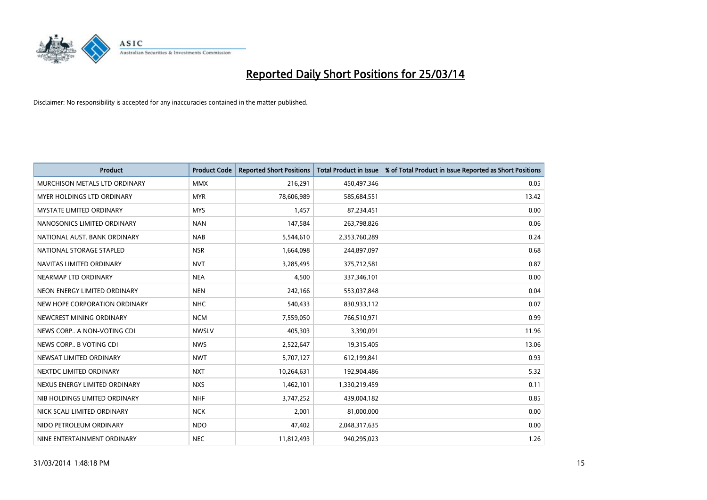

| <b>Product</b>                    | <b>Product Code</b> | <b>Reported Short Positions</b> | <b>Total Product in Issue</b> | % of Total Product in Issue Reported as Short Positions |
|-----------------------------------|---------------------|---------------------------------|-------------------------------|---------------------------------------------------------|
| MURCHISON METALS LTD ORDINARY     | <b>MMX</b>          | 216,291                         | 450,497,346                   | 0.05                                                    |
| <b>MYER HOLDINGS LTD ORDINARY</b> | <b>MYR</b>          | 78,606,989                      | 585,684,551                   | 13.42                                                   |
| <b>MYSTATE LIMITED ORDINARY</b>   | <b>MYS</b>          | 1,457                           | 87,234,451                    | 0.00                                                    |
| NANOSONICS LIMITED ORDINARY       | <b>NAN</b>          | 147,584                         | 263,798,826                   | 0.06                                                    |
| NATIONAL AUST, BANK ORDINARY      | <b>NAB</b>          | 5,544,610                       | 2,353,760,289                 | 0.24                                                    |
| NATIONAL STORAGE STAPLED          | <b>NSR</b>          | 1,664,098                       | 244,897,097                   | 0.68                                                    |
| NAVITAS LIMITED ORDINARY          | <b>NVT</b>          | 3,285,495                       | 375,712,581                   | 0.87                                                    |
| NEARMAP LTD ORDINARY              | <b>NEA</b>          | 4,500                           | 337,346,101                   | 0.00                                                    |
| NEON ENERGY LIMITED ORDINARY      | <b>NEN</b>          | 242,166                         | 553,037,848                   | 0.04                                                    |
| NEW HOPE CORPORATION ORDINARY     | <b>NHC</b>          | 540,433                         | 830,933,112                   | 0.07                                                    |
| NEWCREST MINING ORDINARY          | <b>NCM</b>          | 7,559,050                       | 766,510,971                   | 0.99                                                    |
| NEWS CORP A NON-VOTING CDI        | <b>NWSLV</b>        | 405,303                         | 3,390,091                     | 11.96                                                   |
| NEWS CORP B VOTING CDI            | <b>NWS</b>          | 2,522,647                       | 19,315,405                    | 13.06                                                   |
| NEWSAT LIMITED ORDINARY           | <b>NWT</b>          | 5,707,127                       | 612,199,841                   | 0.93                                                    |
| NEXTDC LIMITED ORDINARY           | <b>NXT</b>          | 10,264,631                      | 192,904,486                   | 5.32                                                    |
| NEXUS ENERGY LIMITED ORDINARY     | <b>NXS</b>          | 1,462,101                       | 1,330,219,459                 | 0.11                                                    |
| NIB HOLDINGS LIMITED ORDINARY     | <b>NHF</b>          | 3,747,252                       | 439,004,182                   | 0.85                                                    |
| NICK SCALI LIMITED ORDINARY       | <b>NCK</b>          | 2,001                           | 81,000,000                    | 0.00                                                    |
| NIDO PETROLEUM ORDINARY           | <b>NDO</b>          | 47,402                          | 2,048,317,635                 | 0.00                                                    |
| NINE ENTERTAINMENT ORDINARY       | <b>NEC</b>          | 11,812,493                      | 940,295,023                   | 1.26                                                    |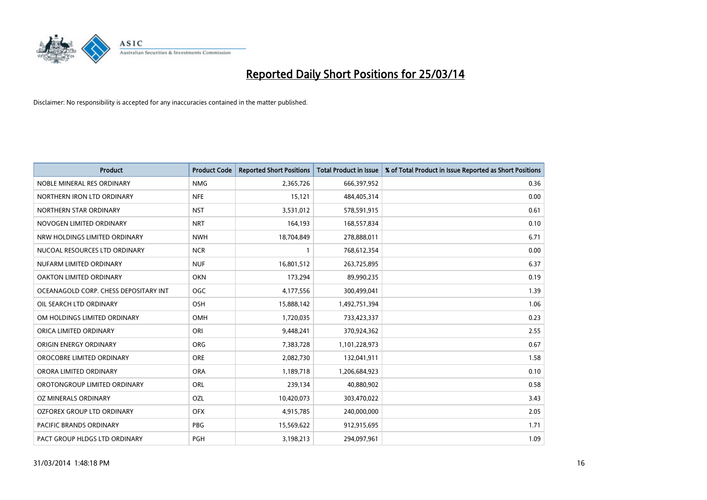

| <b>Product</b>                        | <b>Product Code</b> | <b>Reported Short Positions</b> | <b>Total Product in Issue</b> | % of Total Product in Issue Reported as Short Positions |
|---------------------------------------|---------------------|---------------------------------|-------------------------------|---------------------------------------------------------|
| NOBLE MINERAL RES ORDINARY            | <b>NMG</b>          | 2,365,726                       | 666,397,952                   | 0.36                                                    |
| NORTHERN IRON LTD ORDINARY            | <b>NFE</b>          | 15,121                          | 484,405,314                   | 0.00                                                    |
| NORTHERN STAR ORDINARY                | <b>NST</b>          | 3,531,012                       | 578,591,915                   | 0.61                                                    |
| NOVOGEN LIMITED ORDINARY              | <b>NRT</b>          | 164,193                         | 168,557,834                   | 0.10                                                    |
| NRW HOLDINGS LIMITED ORDINARY         | <b>NWH</b>          | 18,704,849                      | 278,888,011                   | 6.71                                                    |
| NUCOAL RESOURCES LTD ORDINARY         | <b>NCR</b>          | 1                               | 768,612,354                   | 0.00                                                    |
| NUFARM LIMITED ORDINARY               | <b>NUF</b>          | 16,801,512                      | 263,725,895                   | 6.37                                                    |
| OAKTON LIMITED ORDINARY               | <b>OKN</b>          | 173,294                         | 89,990,235                    | 0.19                                                    |
| OCEANAGOLD CORP. CHESS DEPOSITARY INT | <b>OGC</b>          | 4,177,556                       | 300,499,041                   | 1.39                                                    |
| OIL SEARCH LTD ORDINARY               | OSH                 | 15,888,142                      | 1,492,751,394                 | 1.06                                                    |
| OM HOLDINGS LIMITED ORDINARY          | OMH                 | 1,720,035                       | 733,423,337                   | 0.23                                                    |
| ORICA LIMITED ORDINARY                | ORI                 | 9,448,241                       | 370,924,362                   | 2.55                                                    |
| ORIGIN ENERGY ORDINARY                | ORG                 | 7,383,728                       | 1,101,228,973                 | 0.67                                                    |
| OROCOBRE LIMITED ORDINARY             | <b>ORE</b>          | 2,082,730                       | 132,041,911                   | 1.58                                                    |
| ORORA LIMITED ORDINARY                | <b>ORA</b>          | 1,189,718                       | 1,206,684,923                 | 0.10                                                    |
| OROTONGROUP LIMITED ORDINARY          | ORL                 | 239,134                         | 40,880,902                    | 0.58                                                    |
| OZ MINERALS ORDINARY                  | OZL                 | 10,420,073                      | 303,470,022                   | 3.43                                                    |
| OZFOREX GROUP LTD ORDINARY            | <b>OFX</b>          | 4,915,785                       | 240,000,000                   | 2.05                                                    |
| <b>PACIFIC BRANDS ORDINARY</b>        | <b>PBG</b>          | 15,569,622                      | 912,915,695                   | 1.71                                                    |
| PACT GROUP HLDGS LTD ORDINARY         | PGH                 | 3,198,213                       | 294,097,961                   | 1.09                                                    |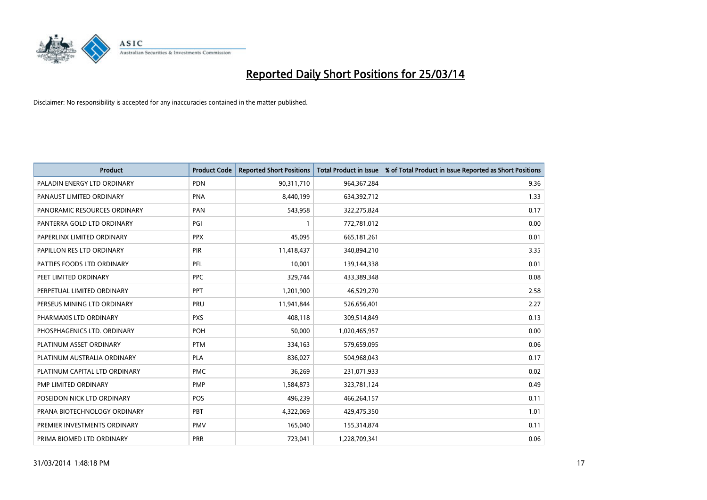

| Product                       | <b>Product Code</b> | <b>Reported Short Positions</b> | <b>Total Product in Issue</b> | % of Total Product in Issue Reported as Short Positions |
|-------------------------------|---------------------|---------------------------------|-------------------------------|---------------------------------------------------------|
| PALADIN ENERGY LTD ORDINARY   | <b>PDN</b>          | 90,311,710                      | 964, 367, 284                 | 9.36                                                    |
| PANAUST LIMITED ORDINARY      | <b>PNA</b>          | 8,440,199                       | 634,392,712                   | 1.33                                                    |
| PANORAMIC RESOURCES ORDINARY  | PAN                 | 543,958                         | 322,275,824                   | 0.17                                                    |
| PANTERRA GOLD LTD ORDINARY    | PGI                 | $\mathbf{1}$                    | 772,781,012                   | 0.00                                                    |
| PAPERLINX LIMITED ORDINARY    | <b>PPX</b>          | 45,095                          | 665, 181, 261                 | 0.01                                                    |
| PAPILLON RES LTD ORDINARY     | PIR                 | 11,418,437                      | 340,894,210                   | 3.35                                                    |
| PATTIES FOODS LTD ORDINARY    | <b>PFL</b>          | 10,001                          | 139,144,338                   | 0.01                                                    |
| PEET LIMITED ORDINARY         | <b>PPC</b>          | 329,744                         | 433,389,348                   | 0.08                                                    |
| PERPETUAL LIMITED ORDINARY    | PPT                 | 1,201,900                       | 46,529,270                    | 2.58                                                    |
| PERSEUS MINING LTD ORDINARY   | PRU                 | 11,941,844                      | 526,656,401                   | 2.27                                                    |
| PHARMAXIS LTD ORDINARY        | <b>PXS</b>          | 408,118                         | 309,514,849                   | 0.13                                                    |
| PHOSPHAGENICS LTD. ORDINARY   | POH                 | 50,000                          | 1,020,465,957                 | 0.00                                                    |
| PLATINUM ASSET ORDINARY       | <b>PTM</b>          | 334,163                         | 579,659,095                   | 0.06                                                    |
| PLATINUM AUSTRALIA ORDINARY   | <b>PLA</b>          | 836,027                         | 504,968,043                   | 0.17                                                    |
| PLATINUM CAPITAL LTD ORDINARY | <b>PMC</b>          | 36,269                          | 231,071,933                   | 0.02                                                    |
| PMP LIMITED ORDINARY          | <b>PMP</b>          | 1,584,873                       | 323,781,124                   | 0.49                                                    |
| POSEIDON NICK LTD ORDINARY    | <b>POS</b>          | 496,239                         | 466,264,157                   | 0.11                                                    |
| PRANA BIOTECHNOLOGY ORDINARY  | PBT                 | 4,322,069                       | 429,475,350                   | 1.01                                                    |
| PREMIER INVESTMENTS ORDINARY  | <b>PMV</b>          | 165,040                         | 155,314,874                   | 0.11                                                    |
| PRIMA BIOMED LTD ORDINARY     | <b>PRR</b>          | 723,041                         | 1,228,709,341                 | 0.06                                                    |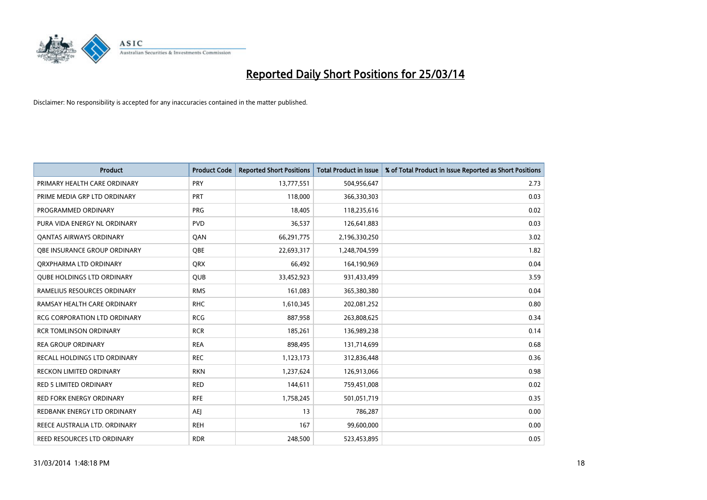

| <b>Product</b>                      | <b>Product Code</b> | <b>Reported Short Positions</b> | <b>Total Product in Issue</b> | % of Total Product in Issue Reported as Short Positions |
|-------------------------------------|---------------------|---------------------------------|-------------------------------|---------------------------------------------------------|
| PRIMARY HEALTH CARE ORDINARY        | <b>PRY</b>          | 13,777,551                      | 504,956,647                   | 2.73                                                    |
| PRIME MEDIA GRP LTD ORDINARY        | <b>PRT</b>          | 118,000                         | 366,330,303                   | 0.03                                                    |
| PROGRAMMED ORDINARY                 | <b>PRG</b>          | 18,405                          | 118,235,616                   | 0.02                                                    |
| PURA VIDA ENERGY NL ORDINARY        | <b>PVD</b>          | 36,537                          | 126,641,883                   | 0.03                                                    |
| <b>QANTAS AIRWAYS ORDINARY</b>      | QAN                 | 66,291,775                      | 2,196,330,250                 | 3.02                                                    |
| OBE INSURANCE GROUP ORDINARY        | <b>OBE</b>          | 22,693,317                      | 1,248,704,599                 | 1.82                                                    |
| ORXPHARMA LTD ORDINARY              | QRX                 | 66,492                          | 164,190,969                   | 0.04                                                    |
| <b>QUBE HOLDINGS LTD ORDINARY</b>   | QUB                 | 33,452,923                      | 931,433,499                   | 3.59                                                    |
| RAMELIUS RESOURCES ORDINARY         | <b>RMS</b>          | 161,083                         | 365,380,380                   | 0.04                                                    |
| RAMSAY HEALTH CARE ORDINARY         | <b>RHC</b>          | 1,610,345                       | 202,081,252                   | 0.80                                                    |
| <b>RCG CORPORATION LTD ORDINARY</b> | <b>RCG</b>          | 887,958                         | 263,808,625                   | 0.34                                                    |
| <b>RCR TOMLINSON ORDINARY</b>       | <b>RCR</b>          | 185,261                         | 136,989,238                   | 0.14                                                    |
| <b>REA GROUP ORDINARY</b>           | <b>REA</b>          | 898,495                         | 131,714,699                   | 0.68                                                    |
| RECALL HOLDINGS LTD ORDINARY        | <b>REC</b>          | 1,123,173                       | 312,836,448                   | 0.36                                                    |
| <b>RECKON LIMITED ORDINARY</b>      | <b>RKN</b>          | 1,237,624                       | 126,913,066                   | 0.98                                                    |
| <b>RED 5 LIMITED ORDINARY</b>       | <b>RED</b>          | 144,611                         | 759,451,008                   | 0.02                                                    |
| <b>RED FORK ENERGY ORDINARY</b>     | <b>RFE</b>          | 1,758,245                       | 501,051,719                   | 0.35                                                    |
| REDBANK ENERGY LTD ORDINARY         | AEJ                 | 13                              | 786,287                       | 0.00                                                    |
| REECE AUSTRALIA LTD. ORDINARY       | <b>REH</b>          | 167                             | 99,600,000                    | 0.00                                                    |
| REED RESOURCES LTD ORDINARY         | <b>RDR</b>          | 248,500                         | 523,453,895                   | 0.05                                                    |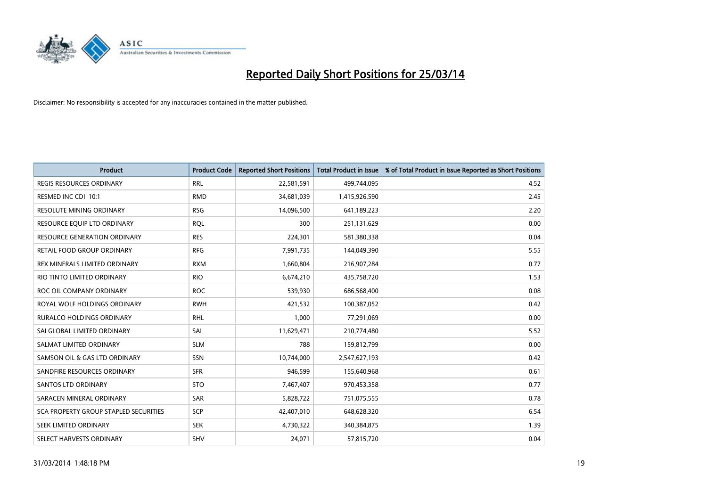

| <b>Product</b>                        | <b>Product Code</b> | <b>Reported Short Positions</b> | <b>Total Product in Issue</b> | % of Total Product in Issue Reported as Short Positions |
|---------------------------------------|---------------------|---------------------------------|-------------------------------|---------------------------------------------------------|
| <b>REGIS RESOURCES ORDINARY</b>       | <b>RRL</b>          | 22,581,591                      | 499,744,095                   | 4.52                                                    |
| RESMED INC CDI 10:1                   | <b>RMD</b>          | 34,681,039                      | 1,415,926,590                 | 2.45                                                    |
| <b>RESOLUTE MINING ORDINARY</b>       | <b>RSG</b>          | 14,096,500                      | 641,189,223                   | 2.20                                                    |
| RESOURCE EQUIP LTD ORDINARY           | <b>RQL</b>          | 300                             | 251,131,629                   | 0.00                                                    |
| <b>RESOURCE GENERATION ORDINARY</b>   | <b>RES</b>          | 224,301                         | 581,380,338                   | 0.04                                                    |
| <b>RETAIL FOOD GROUP ORDINARY</b>     | <b>RFG</b>          | 7,991,735                       | 144,049,390                   | 5.55                                                    |
| REX MINERALS LIMITED ORDINARY         | <b>RXM</b>          | 1,660,804                       | 216,907,284                   | 0.77                                                    |
| RIO TINTO LIMITED ORDINARY            | <b>RIO</b>          | 6,674,210                       | 435,758,720                   | 1.53                                                    |
| ROC OIL COMPANY ORDINARY              | <b>ROC</b>          | 539,930                         | 686,568,400                   | 0.08                                                    |
| ROYAL WOLF HOLDINGS ORDINARY          | <b>RWH</b>          | 421,532                         | 100,387,052                   | 0.42                                                    |
| RURALCO HOLDINGS ORDINARY             | <b>RHL</b>          | 1,000                           | 77,291,069                    | 0.00                                                    |
| SAI GLOBAL LIMITED ORDINARY           | SAI                 | 11,629,471                      | 210,774,480                   | 5.52                                                    |
| SALMAT LIMITED ORDINARY               | <b>SLM</b>          | 788                             | 159,812,799                   | 0.00                                                    |
| SAMSON OIL & GAS LTD ORDINARY         | SSN                 | 10,744,000                      | 2,547,627,193                 | 0.42                                                    |
| SANDFIRE RESOURCES ORDINARY           | <b>SFR</b>          | 946,599                         | 155,640,968                   | 0.61                                                    |
| SANTOS LTD ORDINARY                   | <b>STO</b>          | 7,467,407                       | 970,453,358                   | 0.77                                                    |
| SARACEN MINERAL ORDINARY              | SAR                 | 5,828,722                       | 751,075,555                   | 0.78                                                    |
| SCA PROPERTY GROUP STAPLED SECURITIES | <b>SCP</b>          | 42,407,010                      | 648,628,320                   | 6.54                                                    |
| SEEK LIMITED ORDINARY                 | <b>SEK</b>          | 4,730,322                       | 340,384,875                   | 1.39                                                    |
| SELECT HARVESTS ORDINARY              | SHV                 | 24,071                          | 57,815,720                    | 0.04                                                    |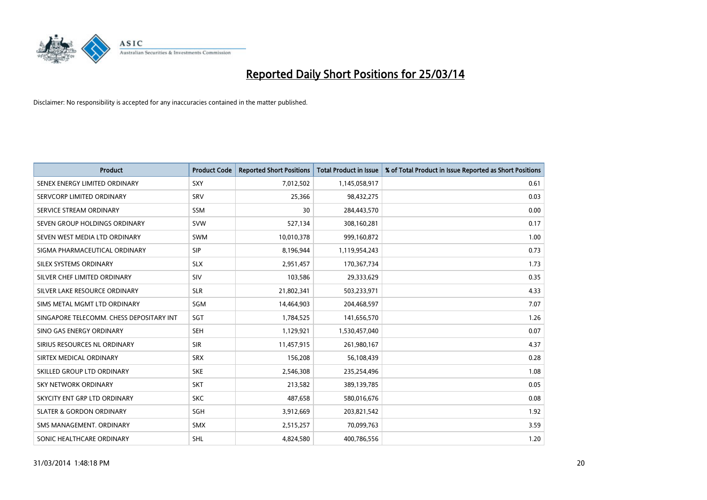

| <b>Product</b>                           | <b>Product Code</b> | <b>Reported Short Positions</b> | <b>Total Product in Issue</b> | % of Total Product in Issue Reported as Short Positions |
|------------------------------------------|---------------------|---------------------------------|-------------------------------|---------------------------------------------------------|
| SENEX ENERGY LIMITED ORDINARY            | SXY                 | 7,012,502                       | 1,145,058,917                 | 0.61                                                    |
| SERVCORP LIMITED ORDINARY                | SRV                 | 25,366                          | 98,432,275                    | 0.03                                                    |
| SERVICE STREAM ORDINARY                  | <b>SSM</b>          | 30                              | 284,443,570                   | 0.00                                                    |
| SEVEN GROUP HOLDINGS ORDINARY            | <b>SVW</b>          | 527,134                         | 308,160,281                   | 0.17                                                    |
| SEVEN WEST MEDIA LTD ORDINARY            | <b>SWM</b>          | 10,010,378                      | 999,160,872                   | 1.00                                                    |
| SIGMA PHARMACEUTICAL ORDINARY            | <b>SIP</b>          | 8,196,944                       | 1,119,954,243                 | 0.73                                                    |
| SILEX SYSTEMS ORDINARY                   | <b>SLX</b>          | 2,951,457                       | 170,367,734                   | 1.73                                                    |
| SILVER CHEF LIMITED ORDINARY             | SIV                 | 103,586                         | 29,333,629                    | 0.35                                                    |
| SILVER LAKE RESOURCE ORDINARY            | <b>SLR</b>          | 21,802,341                      | 503,233,971                   | 4.33                                                    |
| SIMS METAL MGMT LTD ORDINARY             | SGM                 | 14,464,903                      | 204,468,597                   | 7.07                                                    |
| SINGAPORE TELECOMM. CHESS DEPOSITARY INT | SGT                 | 1,784,525                       | 141,656,570                   | 1.26                                                    |
| SINO GAS ENERGY ORDINARY                 | <b>SEH</b>          | 1,129,921                       | 1,530,457,040                 | 0.07                                                    |
| SIRIUS RESOURCES NL ORDINARY             | <b>SIR</b>          | 11,457,915                      | 261,980,167                   | 4.37                                                    |
| SIRTEX MEDICAL ORDINARY                  | <b>SRX</b>          | 156,208                         | 56,108,439                    | 0.28                                                    |
| SKILLED GROUP LTD ORDINARY               | <b>SKE</b>          | 2,546,308                       | 235,254,496                   | 1.08                                                    |
| SKY NETWORK ORDINARY                     | <b>SKT</b>          | 213,582                         | 389,139,785                   | 0.05                                                    |
| SKYCITY ENT GRP LTD ORDINARY             | <b>SKC</b>          | 487,658                         | 580,016,676                   | 0.08                                                    |
| <b>SLATER &amp; GORDON ORDINARY</b>      | SGH                 | 3,912,669                       | 203,821,542                   | 1.92                                                    |
| SMS MANAGEMENT. ORDINARY                 | <b>SMX</b>          | 2,515,257                       | 70,099,763                    | 3.59                                                    |
| SONIC HEALTHCARE ORDINARY                | SHL                 | 4,824,580                       | 400,786,556                   | 1.20                                                    |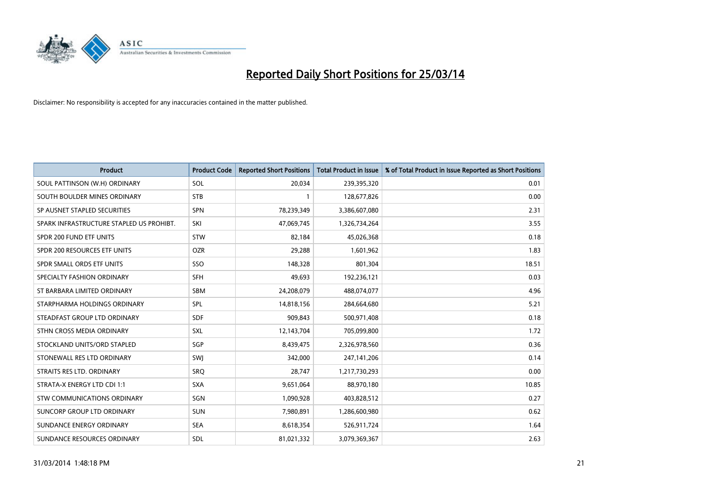

| <b>Product</b>                           | <b>Product Code</b> | <b>Reported Short Positions</b> | <b>Total Product in Issue</b> | % of Total Product in Issue Reported as Short Positions |
|------------------------------------------|---------------------|---------------------------------|-------------------------------|---------------------------------------------------------|
| SOUL PATTINSON (W.H) ORDINARY            | SOL                 | 20,034                          | 239,395,320                   | 0.01                                                    |
| SOUTH BOULDER MINES ORDINARY             | <b>STB</b>          | $\mathbf{1}$                    | 128,677,826                   | 0.00                                                    |
| SP AUSNET STAPLED SECURITIES             | <b>SPN</b>          | 78,239,349                      | 3,386,607,080                 | 2.31                                                    |
| SPARK INFRASTRUCTURE STAPLED US PROHIBT. | SKI                 | 47,069,745                      | 1,326,734,264                 | 3.55                                                    |
| SPDR 200 FUND ETF UNITS                  | STW                 | 82,184                          | 45,026,368                    | 0.18                                                    |
| SPDR 200 RESOURCES ETF UNITS             | <b>OZR</b>          | 29,288                          | 1,601,962                     | 1.83                                                    |
| SPDR SMALL ORDS ETF UNITS                | SSO                 | 148,328                         | 801,304                       | 18.51                                                   |
| SPECIALTY FASHION ORDINARY               | SFH                 | 49,693                          | 192,236,121                   | 0.03                                                    |
| ST BARBARA LIMITED ORDINARY              | <b>SBM</b>          | 24,208,079                      | 488,074,077                   | 4.96                                                    |
| STARPHARMA HOLDINGS ORDINARY             | SPL                 | 14,818,156                      | 284,664,680                   | 5.21                                                    |
| STEADFAST GROUP LTD ORDINARY             | <b>SDF</b>          | 909,843                         | 500,971,408                   | 0.18                                                    |
| STHN CROSS MEDIA ORDINARY                | <b>SXL</b>          | 12,143,704                      | 705,099,800                   | 1.72                                                    |
| STOCKLAND UNITS/ORD STAPLED              | SGP                 | 8,439,475                       | 2,326,978,560                 | 0.36                                                    |
| STONEWALL RES LTD ORDINARY               | SWI                 | 342,000                         | 247,141,206                   | 0.14                                                    |
| STRAITS RES LTD. ORDINARY                | SRO                 | 28,747                          | 1,217,730,293                 | 0.00                                                    |
| STRATA-X ENERGY LTD CDI 1:1              | <b>SXA</b>          | 9,651,064                       | 88,970,180                    | 10.85                                                   |
| STW COMMUNICATIONS ORDINARY              | SGN                 | 1,090,928                       | 403,828,512                   | 0.27                                                    |
| SUNCORP GROUP LTD ORDINARY               | <b>SUN</b>          | 7,980,891                       | 1,286,600,980                 | 0.62                                                    |
| SUNDANCE ENERGY ORDINARY                 | <b>SEA</b>          | 8,618,354                       | 526,911,724                   | 1.64                                                    |
| SUNDANCE RESOURCES ORDINARY              | SDL                 | 81,021,332                      | 3,079,369,367                 | 2.63                                                    |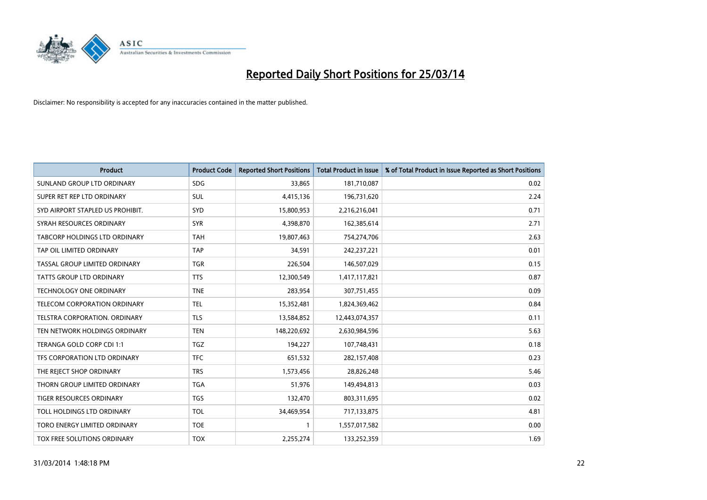

| <b>Product</b>                       | <b>Product Code</b> | <b>Reported Short Positions</b> | Total Product in Issue | % of Total Product in Issue Reported as Short Positions |
|--------------------------------------|---------------------|---------------------------------|------------------------|---------------------------------------------------------|
| SUNLAND GROUP LTD ORDINARY           | <b>SDG</b>          | 33,865                          | 181,710,087            | 0.02                                                    |
| SUPER RET REP LTD ORDINARY           | SUL                 | 4,415,136                       | 196,731,620            | 2.24                                                    |
| SYD AIRPORT STAPLED US PROHIBIT.     | <b>SYD</b>          | 15,800,953                      | 2,216,216,041          | 0.71                                                    |
| SYRAH RESOURCES ORDINARY             | <b>SYR</b>          | 4,398,870                       | 162,385,614            | 2.71                                                    |
| <b>TABCORP HOLDINGS LTD ORDINARY</b> | <b>TAH</b>          | 19,807,463                      | 754,274,706            | 2.63                                                    |
| TAP OIL LIMITED ORDINARY             | <b>TAP</b>          | 34,591                          | 242,237,221            | 0.01                                                    |
| TASSAL GROUP LIMITED ORDINARY        | <b>TGR</b>          | 226,504                         | 146,507,029            | 0.15                                                    |
| <b>TATTS GROUP LTD ORDINARY</b>      | <b>TTS</b>          | 12,300,549                      | 1,417,117,821          | 0.87                                                    |
| TECHNOLOGY ONE ORDINARY              | <b>TNE</b>          | 283,954                         | 307,751,455            | 0.09                                                    |
| TELECOM CORPORATION ORDINARY         | <b>TEL</b>          | 15,352,481                      | 1,824,369,462          | 0.84                                                    |
| TELSTRA CORPORATION. ORDINARY        | <b>TLS</b>          | 13,584,852                      | 12,443,074,357         | 0.11                                                    |
| TEN NETWORK HOLDINGS ORDINARY        | <b>TEN</b>          | 148,220,692                     | 2,630,984,596          | 5.63                                                    |
| TERANGA GOLD CORP CDI 1:1            | <b>TGZ</b>          | 194,227                         | 107,748,431            | 0.18                                                    |
| TFS CORPORATION LTD ORDINARY         | <b>TFC</b>          | 651,532                         | 282,157,408            | 0.23                                                    |
| THE REJECT SHOP ORDINARY             | <b>TRS</b>          | 1,573,456                       | 28,826,248             | 5.46                                                    |
| THORN GROUP LIMITED ORDINARY         | <b>TGA</b>          | 51,976                          | 149,494,813            | 0.03                                                    |
| <b>TIGER RESOURCES ORDINARY</b>      | <b>TGS</b>          | 132,470                         | 803,311,695            | 0.02                                                    |
| TOLL HOLDINGS LTD ORDINARY           | <b>TOL</b>          | 34,469,954                      | 717,133,875            | 4.81                                                    |
| TORO ENERGY LIMITED ORDINARY         | <b>TOE</b>          | $\mathbf{1}$                    | 1,557,017,582          | 0.00                                                    |
| TOX FREE SOLUTIONS ORDINARY          | <b>TOX</b>          | 2,255,274                       | 133,252,359            | 1.69                                                    |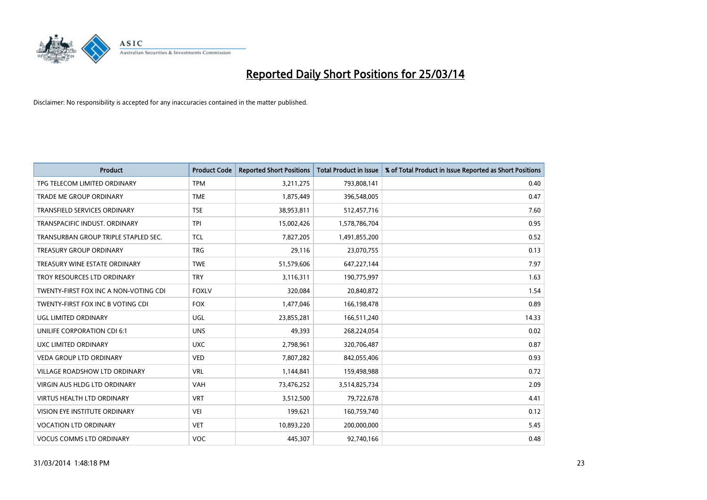

| <b>Product</b>                        | <b>Product Code</b> | <b>Reported Short Positions</b> | <b>Total Product in Issue</b> | % of Total Product in Issue Reported as Short Positions |
|---------------------------------------|---------------------|---------------------------------|-------------------------------|---------------------------------------------------------|
| TPG TELECOM LIMITED ORDINARY          | <b>TPM</b>          | 3,211,275                       | 793,808,141                   | 0.40                                                    |
| TRADE ME GROUP ORDINARY               | <b>TME</b>          | 1,875,449                       | 396,548,005                   | 0.47                                                    |
| <b>TRANSFIELD SERVICES ORDINARY</b>   | <b>TSE</b>          | 38,953,811                      | 512,457,716                   | 7.60                                                    |
| TRANSPACIFIC INDUST. ORDINARY         | <b>TPI</b>          | 15,002,426                      | 1,578,786,704                 | 0.95                                                    |
| TRANSURBAN GROUP TRIPLE STAPLED SEC.  | <b>TCL</b>          | 7,827,205                       | 1,491,855,200                 | 0.52                                                    |
| <b>TREASURY GROUP ORDINARY</b>        | <b>TRG</b>          | 29,116                          | 23,070,755                    | 0.13                                                    |
| TREASURY WINE ESTATE ORDINARY         | <b>TWE</b>          | 51,579,606                      | 647,227,144                   | 7.97                                                    |
| TROY RESOURCES LTD ORDINARY           | <b>TRY</b>          | 3,116,311                       | 190,775,997                   | 1.63                                                    |
| TWENTY-FIRST FOX INC A NON-VOTING CDI | <b>FOXLV</b>        | 320,084                         | 20,840,872                    | 1.54                                                    |
| TWENTY-FIRST FOX INC B VOTING CDI     | <b>FOX</b>          | 1,477,046                       | 166,198,478                   | 0.89                                                    |
| <b>UGL LIMITED ORDINARY</b>           | UGL                 | 23,855,281                      | 166,511,240                   | 14.33                                                   |
| UNILIFE CORPORATION CDI 6:1           | <b>UNS</b>          | 49,393                          | 268,224,054                   | 0.02                                                    |
| UXC LIMITED ORDINARY                  | <b>UXC</b>          | 2,798,961                       | 320,706,487                   | 0.87                                                    |
| <b>VEDA GROUP LTD ORDINARY</b>        | <b>VED</b>          | 7,807,282                       | 842,055,406                   | 0.93                                                    |
| <b>VILLAGE ROADSHOW LTD ORDINARY</b>  | <b>VRL</b>          | 1,144,841                       | 159,498,988                   | 0.72                                                    |
| VIRGIN AUS HLDG LTD ORDINARY          | <b>VAH</b>          | 73,476,252                      | 3,514,825,734                 | 2.09                                                    |
| VIRTUS HEALTH LTD ORDINARY            | <b>VRT</b>          | 3,512,500                       | 79,722,678                    | 4.41                                                    |
| VISION EYE INSTITUTE ORDINARY         | <b>VEI</b>          | 199,621                         | 160,759,740                   | 0.12                                                    |
| <b>VOCATION LTD ORDINARY</b>          | <b>VET</b>          | 10,893,220                      | 200,000,000                   | 5.45                                                    |
| <b>VOCUS COMMS LTD ORDINARY</b>       | <b>VOC</b>          | 445,307                         | 92,740,166                    | 0.48                                                    |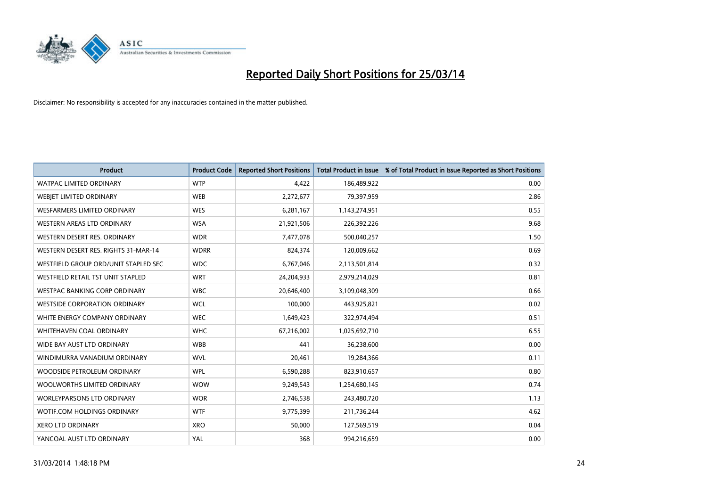

| <b>Product</b>                       | <b>Product Code</b> | <b>Reported Short Positions</b> | <b>Total Product in Issue</b> | % of Total Product in Issue Reported as Short Positions |
|--------------------------------------|---------------------|---------------------------------|-------------------------------|---------------------------------------------------------|
| <b>WATPAC LIMITED ORDINARY</b>       | <b>WTP</b>          | 4,422                           | 186,489,922                   | 0.00                                                    |
| WEBJET LIMITED ORDINARY              | <b>WEB</b>          | 2,272,677                       | 79,397,959                    | 2.86                                                    |
| WESFARMERS LIMITED ORDINARY          | <b>WES</b>          | 6,281,167                       | 1,143,274,951                 | 0.55                                                    |
| WESTERN AREAS LTD ORDINARY           | <b>WSA</b>          | 21,921,506                      | 226,392,226                   | 9.68                                                    |
| WESTERN DESERT RES. ORDINARY         | <b>WDR</b>          | 7,477,078                       | 500,040,257                   | 1.50                                                    |
| WESTERN DESERT RES. RIGHTS 31-MAR-14 | <b>WDRR</b>         | 824,374                         | 120,009,662                   | 0.69                                                    |
| WESTFIELD GROUP ORD/UNIT STAPLED SEC | <b>WDC</b>          | 6,767,046                       | 2,113,501,814                 | 0.32                                                    |
| WESTFIELD RETAIL TST UNIT STAPLED    | <b>WRT</b>          | 24,204,933                      | 2,979,214,029                 | 0.81                                                    |
| <b>WESTPAC BANKING CORP ORDINARY</b> | <b>WBC</b>          | 20,646,400                      | 3,109,048,309                 | 0.66                                                    |
| <b>WESTSIDE CORPORATION ORDINARY</b> | <b>WCL</b>          | 100,000                         | 443,925,821                   | 0.02                                                    |
| WHITE ENERGY COMPANY ORDINARY        | <b>WEC</b>          | 1,649,423                       | 322,974,494                   | 0.51                                                    |
| WHITEHAVEN COAL ORDINARY             | <b>WHC</b>          | 67,216,002                      | 1,025,692,710                 | 6.55                                                    |
| WIDE BAY AUST LTD ORDINARY           | <b>WBB</b>          | 441                             | 36,238,600                    | 0.00                                                    |
| WINDIMURRA VANADIUM ORDINARY         | <b>WVL</b>          | 20,461                          | 19,284,366                    | 0.11                                                    |
| WOODSIDE PETROLEUM ORDINARY          | <b>WPL</b>          | 6,590,288                       | 823,910,657                   | 0.80                                                    |
| WOOLWORTHS LIMITED ORDINARY          | <b>WOW</b>          | 9,249,543                       | 1,254,680,145                 | 0.74                                                    |
| <b>WORLEYPARSONS LTD ORDINARY</b>    | <b>WOR</b>          | 2,746,538                       | 243,480,720                   | 1.13                                                    |
| WOTIF.COM HOLDINGS ORDINARY          | <b>WTF</b>          | 9,775,399                       | 211,736,244                   | 4.62                                                    |
| <b>XERO LTD ORDINARY</b>             | <b>XRO</b>          | 50,000                          | 127,569,519                   | 0.04                                                    |
| YANCOAL AUST LTD ORDINARY            | YAL                 | 368                             | 994,216,659                   | 0.00                                                    |